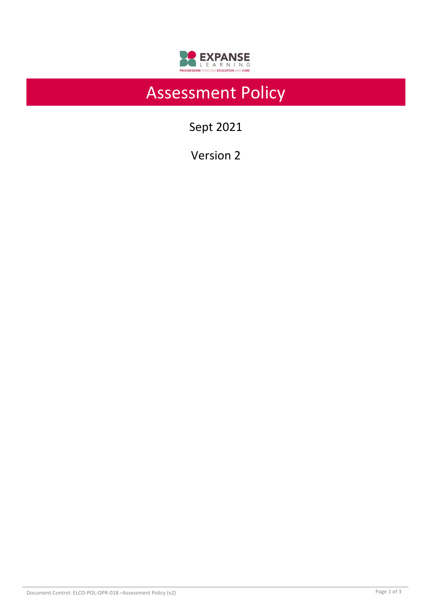

# Assessment Policy

Sept 2021

Version 2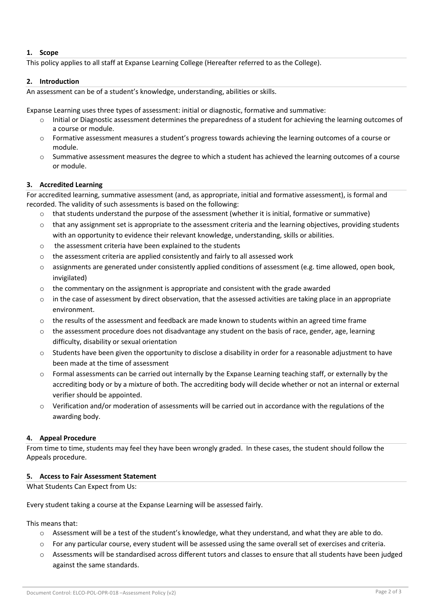# **1. Scope**

This policy applies to all staff at Expanse Learning College (Hereafter referred to as the College).

## **2. Introduction**

An assessment can be of a student's knowledge, understanding, abilities or skills.

Expanse Learning uses three types of assessment: initial or diagnostic, formative and summative:

- Initial or Diagnostic assessment determines the preparedness of a student for achieving the learning outcomes of a course or module.
- o Formative assessment measures a student's progress towards achieving the learning outcomes of a course or module.
- $\circ$  Summative assessment measures the degree to which a student has achieved the learning outcomes of a course or module.

# **3. Accredited Learning**

For accredited learning, summative assessment (and, as appropriate, initial and formative assessment), is formal and recorded. The validity of such assessments is based on the following:

- o that students understand the purpose of the assessment (whether it is initial, formative or summative)
- $\circ$  that any assignment set is appropriate to the assessment criteria and the learning objectives, providing students with an opportunity to evidence their relevant knowledge, understanding, skills or abilities.
- o the assessment criteria have been explained to the students
- $\circ$  the assessment criteria are applied consistently and fairly to all assessed work
- $\circ$  assignments are generated under consistently applied conditions of assessment (e.g. time allowed, open book, invigilated)
- $\circ$  the commentary on the assignment is appropriate and consistent with the grade awarded
- $\circ$  in the case of assessment by direct observation, that the assessed activities are taking place in an appropriate environment.
- $\circ$  the results of the assessment and feedback are made known to students within an agreed time frame
- $\circ$  the assessment procedure does not disadvantage any student on the basis of race, gender, age, learning difficulty, disability or sexual orientation
- $\circ$  Students have been given the opportunity to disclose a disability in order for a reasonable adjustment to have been made at the time of assessment
- $\circ$  Formal assessments can be carried out internally by the Expanse Learning teaching staff, or externally by the accrediting body or by a mixture of both. The accrediting body will decide whether or not an internal or external verifier should be appointed.
- $\circ$  Verification and/or moderation of assessments will be carried out in accordance with the regulations of the awarding body.

# **4. Appeal Procedure**

From time to time, students may feel they have been wrongly graded. In these cases, the student should follow the Appeals procedure.

## **5. Access to Fair Assessment Statement**

What Students Can Expect from Us:

Every student taking a course at the Expanse Learning will be assessed fairly.

This means that:

- $\circ$  Assessment will be a test of the student's knowledge, what they understand, and what they are able to do.
- $\circ$  For any particular course, every student will be assessed using the same overall set of exercises and criteria.
- o Assessments will be standardised across different tutors and classes to ensure that all students have been judged against the same standards.